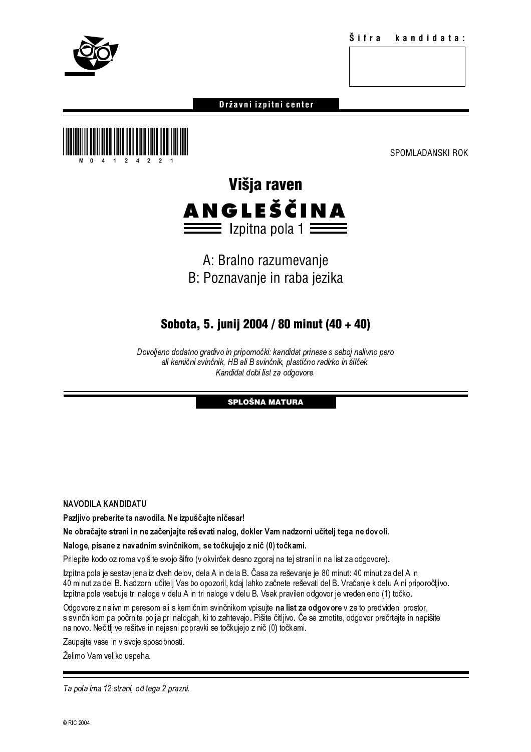

# Državni izpitni center





A: Bralno razumevanje B: Poznavanje in raba jezika

# Sobota, 5. junij 2004 / 80 minut (40 + 40)

Dovoljeno dodatno gradivo in pripomočki: kandidat prinese s seboj nalivno pero ali kemični svinčnik, HB ali B svinčnik, plastično radirko in šilček. Kandidat dobi list za odgovore.

# SPLOŠNA MATURA

# NAVODILA KANDIDATU

Pazljivo preberite ta navodila. Ne izpuščajte ničesar!

Ne obračajte strani in ne začenjajte reševati nalog, dokler Vam nadzorni učitelj tega ne dovoli.

Naloge, pisane z navadnim svinčnikom, se točkujejo z nič (0) točkami.

Prilepite kodo oziroma vpišite svojo šifro (v okvirček desno zgoraj na tej strani in na list za odgovore).

ali kemični svinčnik, HB ali B svinčnik, plastično radirko in šliček.<br>
Kandidat dobi list za odgovore.<br> **SEPOSIVA MATUEA**<br>
SEPOSIVA MATUEA<br>
In the začenjajte reševati nalog, dokler Vam nadzorni učitelj tega ne dovoli,<br>
upi Kandidat dobi list za odgovore.<br> **SPLOŠNA MATURA**<br> **SPLOŠNA MATURA**<br> **ali B svinčnikom, se točkujejo z nič (0) točkami.**<br>
avojo šifro (v okvirček desno zgoraj na tej strani in na list za odgoveh delov, dela A in dela B. Ča **SPLOŠNA MATURA**<br> **SPLOŠNA MATURA**<br>
nalog, dokler Vam nadzorni<br>
očkujejo z nič (0) točkami.<br>
irček desno zgoraj na tej strani<br>
in dela B. Časa za reševanje j<br>
oge v delu B. Vsak pravilen od<br>
vinčnikom vpisujte na list za o Izpitna pola je sestavljena iz dveh delov, dela A in dela B. Časa za reševanje je 80 minut: 40 minut za del A in 40 minut za del B. Nadzorni učitelj Vas bo opozoril, kdaj lahko začnete reševati del B. Vračanje k delu A ni priporočljivo. Izpitna pola vsebuje tri naloge v delu A in tri naloge v delu B. Vsak pravilen odgovor je vreden eno (1) točko.

Odgovore z nalivnim peresom ali s kemičnim svinčnikom vpisujte na list za odgovore v za to predvideni prostor, s svinčnikom pa počrnite polja pri nalogah, ki to zahtevajo. Pišite čitljivo. Če se zmotite, odgovor prečrtajte in napišite na novo. Nečitljive rešitve in nejasni popravki se točkujejo z nič (0) točkami.

Zaupajte vase in v svoje sposobnosti.

Želimo Vam veliko uspeha.

Ta pola ima 12 strani, od tega 2 prazni.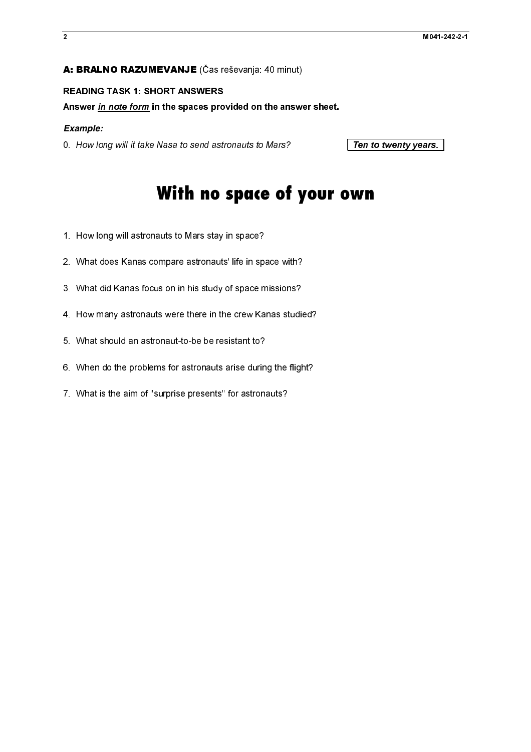# A: BRALNO RAZUMEVANJE (Čas reševanja: 40 minut)

Answer *in note form* in the spaces pro<br>Example:<br>0. How long will it take Nasa to send astronauts<br>1. How long will astronauts to Mars stay<br>2. What does Kanas compare astronauts<br>3. What did Kanas focus on in his study<br>4. Ho

## *Example:*

Ten to twenty years.

# **A: BRALNO RAZUMEVANJE** (Čas reševanja: 40 minut)<br>READING TASK 1: SHORT ANSWERS<br>Answer *in note form* in the spaces provided on the answer<br>Example:<br>O. *How long will it take Nasa to send astronauts to Mars?*<br>O. *How long w* Answer <u>in note form</u> in the spaces provided on the answer sheet.<br>Example:<br>
O. How long will it take Nasa to send astronauts to Mars?<br> **With no space of your**<br>
1. How long will astronauts to Mars stay in space?<br>
2. What di **With no space of your own**<br>1. How long will satronauts to Mars stay in space?<br>2. What cises Kansa compare astronauts' life in space?<br>3. What sites focus on it his study of space missions?<br>4. How many astronauts were there **With no space of your own**

- 
- $\frac{1}{2}$  and  $\frac{1}{2}$  and  $\frac{1}{2}$  and  $\frac{1}{2}$  and  $\frac{1}{2}$  and  $\frac{1}{2}$  and  $\frac{1}{2}$  and  $\frac{1}{2}$  and  $\frac{1}{2}$  and  $\frac{1}{2}$  and  $\frac{1}{2}$  and  $\frac{1}{2}$  and  $\frac{1}{2}$  and  $\frac{1}{2}$  and  $\frac{1}{2}$  and  $\frac{1}{2}$  a  $\frac{1}{2}$  and  $\frac{1}{2}$  and  $\frac{1}{2}$  and  $\frac{1}{2}$  and  $\frac{1}{2}$  and  $\frac{1}{2}$  and  $\frac{1}{2}$  and  $\frac{1}{2}$  and  $\frac{1}{2}$  and  $\frac{1}{2}$  and  $\frac{1}{2}$  and  $\frac{1}{2}$  and  $\frac{1}{2}$  and  $\frac{1}{2}$  and  $\frac{1}{2}$  and  $\frac{1}{2}$  a 2. What does Kanas compare astronauts' life in space R<br>3. What did Kanas focus on in his study of space m<br>4. How many astronauts were there in the crew Ka<br>5. What should an astronaut-to-be be resistant to?<br>6. When do the p
- 
- 2. What does Kanas compare astronauts' life in space with?<br>3. What did Kanas focus on in his study of space missions?<br>4. How many astronauts were there in the crew Kanas studie<br>5. What should an astronaut-to-be be resistan 3. How many astronauts were there in the crew Kanas studies.<br>4. How many astronauts were there in the crew Kanas studies.<br>6. What should an astronaut-to-be be resistant to?<br>6. When do the problems for astronauts arise duri
- 
- 4. What should an astronaut-to-be be resistant to?<br>4. When do the problems for astronauts arise during the flight?<br>4. What is the aim of "surprise presents" for astronauts? 5. When do the problems for astronauts arise during<br>7. What is the aim of "surprise presents" for astronauts<br>7.
- For the problems for astronauts for astronauts are during the flight of the flight of "surprise presents" for astronauts? 7. What is the aim of ''surprise presents'' for astronauts?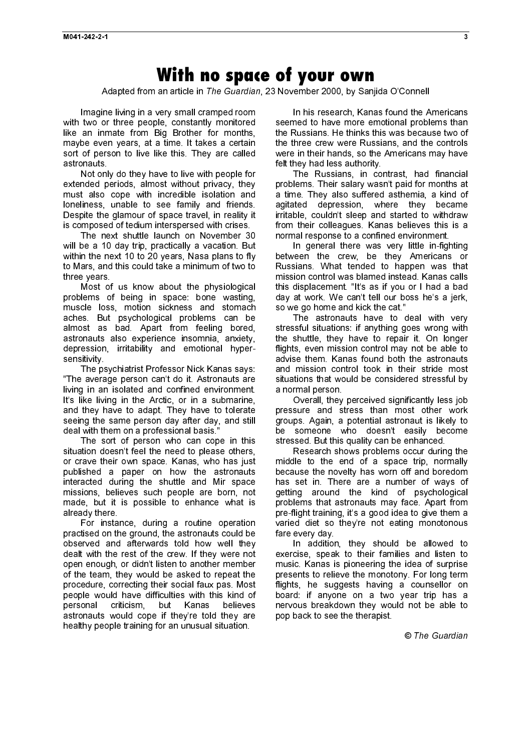# **With no space of your own**

Adapted from an article in The Guardian, 23 November 2000, by Sanjida O'Connell

Imagine living in a very small cramped room with two or three people, constantly monitored like an inmate from Big Brother for months, maybe even years, at a time. It takes a certain sort of person to live like this. They are called astronauts.

Not only do they have to live with people for extended periods, almost without privacy, they must also cope with incredible isolation and loneliness, unable to see family and friends. Despite the glamour of space travel, in reality it is composed of tedium interspersed with crises.

The next shuttle launch on November 30 will be a 10 day trip, practically a vacation. But within the next 10 to 20 years, Nasa plans to fly to Mars, and this could take a minimum of two to three years.

Most of us know about the physiological problems of being in space: bone wasting, muscle loss, motion sickness and stomach aches. But psychological problems can be almost as bad. Apart from feeling bored, astronauts also experience insomnia, anxiety, depression, irritability and emotional hypersensitivity.

The psychiatrist Professor Nick Kanas says: "The average person can't do it. Astronauts are living in an isolated and confined environment. It's like living in the Arctic, or in a submarine, and they have to adapt. They have to tolerate seeing the same person day after day, and still deal with them on a professional basis."

The sort of person who can cope in this situation doesn't feel the need to please others, or crave their own space. Kanas, who has just published a paper on how the astronauts interacted during the shuttle and Mir space missions, believes such people are born, not made, but it is possible to enhance what is already there.

For instance, during a routine operation practised on the ground, the astronauts could be observed and afterwards told how well they dealt with the rest of the crew. If they were not open enough, or didn't listen to another member of the team, they would be asked to repeat the procedure, correcting their social faux pas. Most people would have difficulties with this kind of personal criticism, but Kanas believes astronauts would cope if they're told they are healthy people training for an unusual situation.

In his research, Kanas found the Americans seemed to have more emotional problems than the Russians. He thinks this was because two of the three crew were Russians, and the controls were in their hands, so the Americans may have felt they had less authority.

The Russians, in contrast, had financial problems. Their salary wasn't paid for months at a time. They also suffered asthemia, a kind of agitated depression, where they became irritable, couldn't sleep and started to withdraw from their colleagues. Kanas believes this is a normal response to a confined environment.

In general there was very little in-fighting between the crew, be they Americans or Russians. What tended to happen was that mission control was blamed instead. Kanas calls this displacement. "It's as if you or I had a bad day at work. We can't tell our boss he's a jerk, so we go home and kick the cat."

The astronauts have to deal with very stressful situations: if anything goes wrong with the shuttle, they have to repair it. On longer flights, even mission control may not be able to advise them. Kanas found both the astronauts and mission control took in their stride most situations that would be considered stressful by a normal person.

Overall, they perceived significantly less job pressure and stress than most other work groups. Again, a potential astronaut is likely to be someone who doesn't easily become stressed. But this quality can be enhanced.

Research shows problems occur during the middle to the end of a space trip, normally because the novelty has worn off and boredom has set in. There are a number of ways of getting around the kind of psychological problems that astronauts may face. Apart from pre-flight training, it's a good idea to give them a varied diet so they're not eating monotonous fare every day.

In addition, they should be allowed to exercise, speak to their families and listen to music. Kanas is pioneering the idea of surprise presents to relieve the monotony. For long term flights, he suggests having a counsellor on board: if anyone on a two year trip has a nervous breakdown they would not be able to pop back to see the therapist.

© The Guardian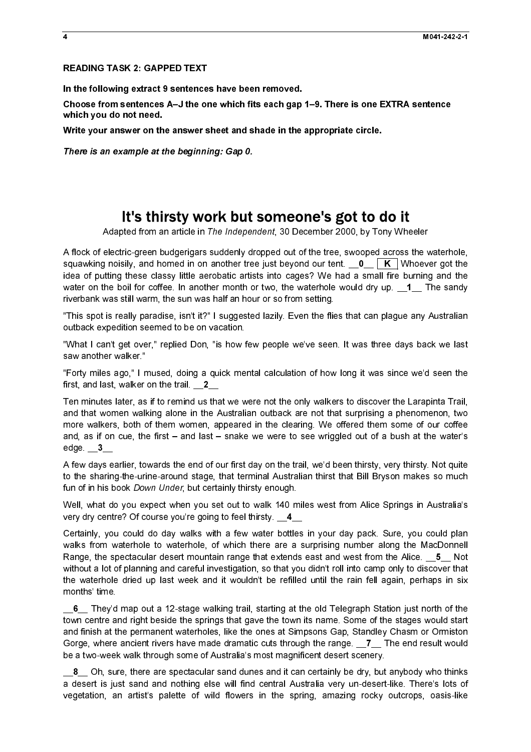### READING TASK 2: GAPPED TEXT

In the following extract 9 sentences have been removed.

Choose from sentences A–J the one which fits each gap 1–9. There is one EXTRA sentence which you do not need.

Write your answer on the answer sheet and shade in the appropriate circle.

There is an example at the beginning: Gap 0.

# It's thirsty work but someone's got to do it

Adapted from an article in The Independent, 30 December 2000, by Tony Wheeler

A flock of electric-green budgerigars suddenly dropped out of the tree, swooped across the waterhole, squawking noisily, and homed in on another tree just beyond our tent.  $\bullet$   $\mathsf{K}$  Whoever got the idea of putting these classy little aerobatic artists into cages? We had a small fire burning and the water on the boil for coffee. In another month or two, the waterhole would dry up. 1\_1\_ The sandy riverbank was still warm, the sun was half an hour or so from setting.

"This spot is really paradise, isn't it?" I suggested lazily. Even the flies that can plague any Australian outback expedition seemed to be on vacation.

"What I can't get over," replied Don, "is how few people we've seen. It was three days back we last saw another walker."

"Forty miles ago," I mused, doing a quick mental calculation of how long it was since we'd seen the first, and last, walker on the trail.  $\quad$  2

Ten minutes later, as if to remind us that we were not the only walkers to discover the Larapinta Trail, and that women walking alone in the Australian outback are not that surprising a phenomenon, two more walkers, both of them women, appeared in the clearing. We offered them some of our coffee and, as if on cue, the first – and last – snake we were to see wriggled out of a bush at the water's edge. 3

A few days earlier, towards the end of our first day on the trail, we'd been thirsty, very thirsty. Not quite to the sharing-the-urine-around stage, that terminal Australian thirst that Bill Bryson makes so much fun of in his book Down Under, but certainly thirsty enough.

Well, what do you expect when you set out to walk 140 miles west from Alice Springs in Australia's very dry centre? Of course you're going to feel thirsty. 4

There is an example at the beginning: Gap 0.<br>
It's thirsty work but<br>
Hence in The indeperation and and the method of the method of electric-green budgerigars suddenly disquawking noisily, and homed in on another tre<br>
wate Certainly, you could do day walks with a few water bottles in your day pack. Sure, you could plan walks from waterhole to waterhole, of which there are a surprising number along the MacDonnell Range, the spectacular desert mountain range that extends east and west from the Alice. \_\_5\_\_ Not without a lot of planning and careful investigation, so that you didn't roll into camp only to discover that the waterhole dried up last week and it wouldn't be refilled until the rain fell again, perhaps in six months' time.

**\_6**\_\_ They'd map out a 12-stage walking trail, starting at the old Telegraph Station just north of the town centre and right beside the springs that gave the town its name. Some of the stages would start and finish at the permanent waterholes, like the ones at Simpsons Gap, Standley Chasm or Ormiston Gorge, where ancient rivers have made dramatic cuts through the range. **7** The end result would be a two-week walk through some of Australia's most magnificent desert scenery.

8 Oh, sure, there are spectacular sand dunes and it can certainly be dry, but anybody who thinks a desert is just sand and nothing else will find central Australia very un-desert-like. There's lots of vegetation, an artist's palette of wild flowers in the spring, amazing rocky outcrops, oasis-like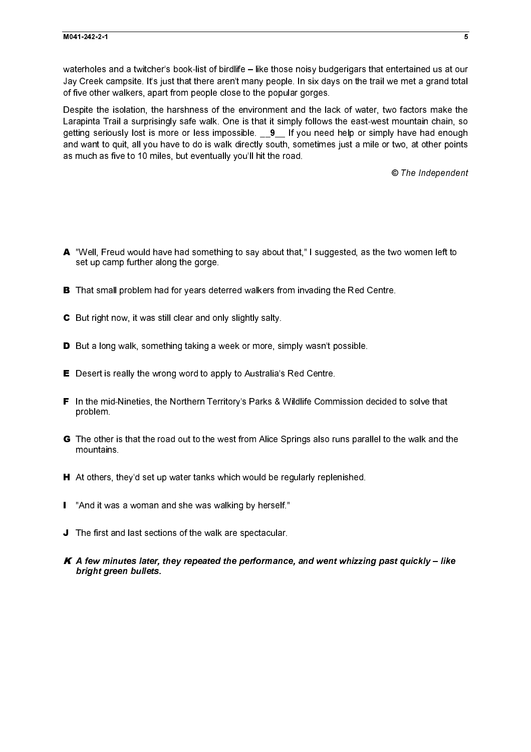waterholes and a twitcher's book-list of birdlife – like those noisy budgerigars that entertained us at our Jay Creek campsite. It's just that there aren't many people. In six days on the trail we met a grand total of five other walkers, apart from people close to the popular gorges.

Despite the isolation, the harshness of the environment and the lack of water, two factors make the Larapinta Trail a surprisingly safe walk. One is that it simply follows the east-west mountain chain, so getting seriously lost is more or less impossible. \_9\_ If you need help or simply have had enough and want to quit, all you have to do is walk directly south, sometimes just a mile or two, at other points as much as five to 10 miles, but eventually you'll hit the road.

© The Independent

- set up camp further along the gorge.
- 
- 
- 
- 
- **B** That small problem had for years deterred walkers from invading the Red Centre.<br>**C** But right now, it was still clear and only slightly sally.<br>**D** But a long walk, something taking a week or more, simply wasn't possibl C But right now, it was still clear and only slightly salty.<br>
D But a long walk, something taking a week or more, si<br>
E Desert is really the wrong word to apply to Australia's<br>
F In the mid-Nineties, the Northern Territory **D** But a long walk, something taking a week or more, simply wasn't possible.<br> **E** Desert is really the wrong word to apply to Australia's Red Centre.<br> **F** In the mid-Nineties, the Northern Territory's Parks & Wildlife Com E Desert is really the wrong word to apply to Australia's Red Centre.<br>
F In the mid-Nineties, the Northern Territory's Parks & Wildlife Comm<br>
problem.<br> **C** The other is that the road out to the west from Alice Springs also problem.
- A "Well, Freud would have had something to say about that," I suggested, as the two women left to set we cannot further abong the groge.<br>
But a long walk, something taking a weak or more, simply wasnt possible.<br>
But a long F In the mid-Nineties, the Northern Territory's Parks & Wildlife Commission decided to solve that<br>
or The other is that the road out to the west from Alice Springs also runs parallel to the walk and the<br>
mountains.<br>
H At mountains.
- 
- 
- 
- G The other is that the road out to the west from Alice Springs also runs parallel to the walk and the mountains.<br>H At others, they'd set up water tanks which would be regularly replenished.<br>I "And it was a woman and she w H At others, they'd set up water tanks which would be regularly replenished.<br>
I "And it was a woman and she was walking by herself."<br>
J The first and last sections of the walk are spectacular.<br>
K A few minutes later, they I "And it was a woman and she was walking by herself."<br>J The first and last sections of the walk are spectacular.<br>K A few minutes later, they repeated the performance<br>bright green bullets. J The first and last sections of the walk are spectacular.<br>  $K$  A few minutes later, they repeated the performance<br>
bright green bullets. K A few minutes later, they repeated the performance, and went whizzing past quickly – like bright green bullets.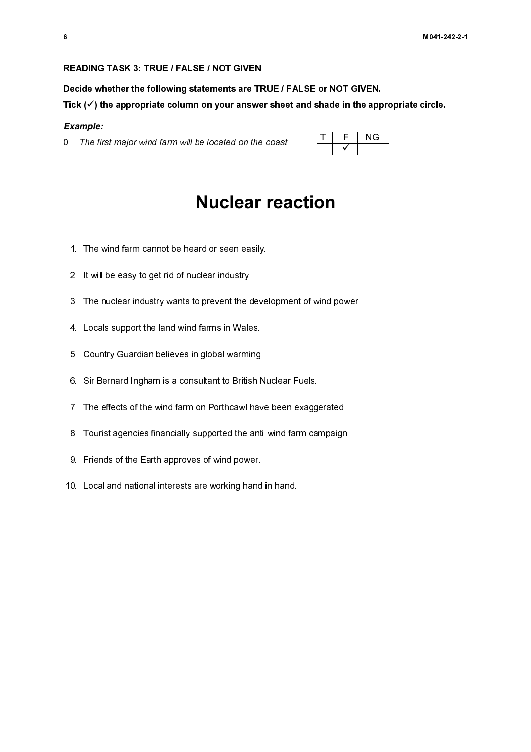# READING TASK 3: TRUE / FALSE / NOT GIVEN

Decide whether the following statements are TRUE / FALSE or NOT GIVEN.

Tick  $(\checkmark)$  the appropriate column on your answer sheet and shade in the appropriate circle.

# *Example:*

0. The first major wind farm will be located on the coast.

|  | т |
|--|---|
|  |   |

# Nuclear reaction

- 1. The wind farm cannot be heard or seen easily.
- 2. It will be easy to get rid of nuclear industry.
- 0. The first major wind farm will be scaled on the coast.<br>
1. The wind farm cannot be heard or sean easily.<br>
2. It will be easy to get ind of nuclear industry.<br>
3. The nuclear industry wants to prevent the development of w 3. The nuclear industry wants to prevent the development of wind power.
- 4. Locals support the land wind farms in Wales.
- 5. Country Guardian believes in global warming.
- 6. Sir Bernard Ingham is a consultant to British Nuclear Fuels.
- 7. The effects of the wind farm on Porthcawl have been exaggerated.
- 2. It will be easy to get rid of nuclear industry.<br>
3. The nuclear industry wants to prevent the deve<br>
4. Locals support the land wind farms in Wales.<br>
5. Country Guardian believes in global warming.<br>
6. Sir Bernard Ingham 3. Locals support the land wind farms in Wales.<br>5. Country Guardian believes in global warming.<br>6. Sir Bernard Ingham is a consultant to British Nuclear Fuels.<br>7. The effects of the wind farm on Porthcawl have been exagger 4. Country Guardian believes in global warming.<br>6. Sir Bernard Ingham is a consultant to British N<br>7. The effects of the wind farm on Porthcawl hav<br>8. Tourist agencies financially supported the ant<br>9. Friends of the Earth 5. Sir Bernard Ingham is a consultant to British N<br>5. Sir Bernard Ingham is a consultant to British N<br>7. The effects of the wind farm on Porthcawl have<br>8. Tourist agencies financially supported the anti-<br>9. Friends of the 7. The effects of the wind farm on Porthcawl have been exagged<br>8. Tourist agencies financially supported the anti-wind farm care<br>9. Friends of the Earth approves of wind power.<br>10. Local and national interests are working 7. The effects of the materially supported the anti-wind farm campaign.<br>19. Triends of the Earth approves of wind power.<br>10. Local and national interests are working hand in hand. 8. Tourist agencies financially supported the anti-wind farm campaign.
- 2. It will be easy to get riduct a matter than the definition of a the definition of a Locals support the land wind farms in Wale<br>5. Country Guardian believes in global warming.<br>6. Sir Bernard Ingham is a consultant to Bri 9. Friends of the Earth approves of wind power.
- 9. Friends of the Earth approves of wind power.<br>10. Local and national interests are working hand in hand. 10. Local and national interests are working hand 10. Local and national interests are working hand in hand.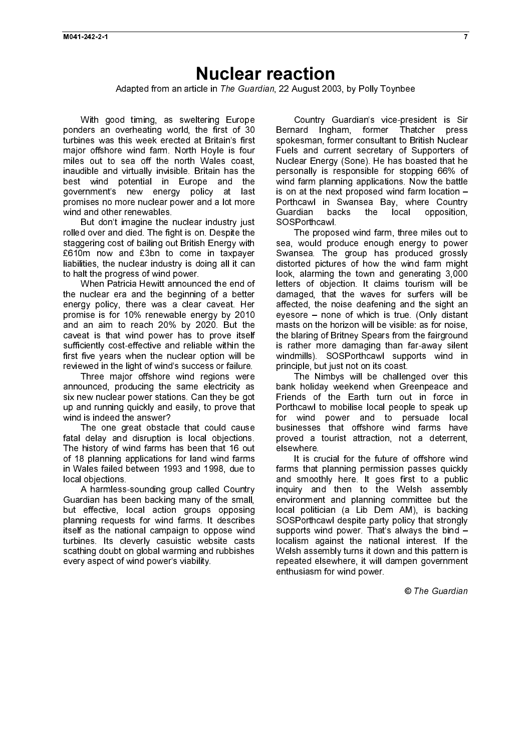# Nuclear reaction

Adapted from an article in The Guardian, 22 August 2003, by Polly Toynbee

With good timing, as sweltering Europe ponders an overheating world, the first of 30 turbines was this week erected at Britain's first major offshore wind farm. North Hoyle is four miles out to sea off the north Wales coast, inaudible and virtually invisible. Britain has the best wind potential in Europe and the government's new energy policy at last promises no more nuclear power and a lot more wind and other renewables.

But don't imagine the nuclear industry just rolled over and died. The fight is on. Despite the staggering cost of bailing out British Energy with £610m now and £3bn to come in taxpayer liabilities, the nuclear industry is doing all it can to halt the progress of wind power.

When Patricia Hewitt announced the end of the nuclear era and the beginning of a better energy policy, there was a clear caveat. Her promise is for 10% renewable energy by 2010 and an aim to reach 20% by 2020. But the caveat is that wind power has to prove itself sufficiently cost-effective and reliable within the first five years when the nuclear option will be reviewed in the light of wind's success or failure.

Three major offshore wind regions were announced, producing the same electricity as six new nuclear power stations. Can they be got up and running quickly and easily, to prove that wind is indeed the answer?

The one great obstacle that could cause fatal delay and disruption is local objections. The history of wind farms has been that 16 out of 18 planning applications for land wind farms in Wales failed between 1993 and 1998, due to local objections.

A harmless-sounding group called Country Guardian has been backing many of the small, but effective, local action groups opposing planning requests for wind farms. It describes itself as the national campaign to oppose wind turbines. Its cleverly casuistic website casts scathing doubt on global warming and rubbishes every aspect of wind power's viability.

Country Guardian's vice-president is Sir Bernard Ingham, former Thatcher press spokesman, former consultant to British Nuclear Fuels and current secretary of Supporters of Nuclear Energy (Sone). He has boasted that he personally is responsible for stopping 66% of wind farm planning applications. Now the battle is on at the next proposed wind farm location – Porthcawl in Swansea Bay, where Country Guardian backs the local opposition, SOSPorthcawl.

The proposed wind farm, three miles out to sea, would produce enough energy to power Swansea. The group has produced grossly distorted pictures of how the wind farm might look, alarming the town and generating 3,000 letters of objection. It claims tourism will be damaged, that the waves for surfers will be affected, the noise deafening and the sight an eyesore – none of which is true. (Only distant masts on the horizon will be visible: as for noise, the blaring of Britney Spears from the fairground is rather more damaging than far-away silent windmills). SOSPorthcawl supports wind in principle, but just not on its coast.

The Nimbys will be challenged over this bank holiday weekend when Greenpeace and Friends of the Earth turn out in force in Porthcawl to mobilise local people to speak up for wind power and to persuade local businesses that offshore wind farms have proved a tourist attraction, not a deterrent, elsewhere.

It is crucial for the future of offshore wind farms that planning permission passes quickly and smoothly here. It goes first to a public inquiry and then to the Welsh assembly environment and planning committee but the local politician (a Lib Dem AM), is backing SOSPorthcawl despite party policy that strongly supports wind power. That's always the bind – localism against the national interest. If the Welsh assembly turns it down and this pattern is repeated elsewhere, it will dampen government enthusiasm for wind power.

© The Guardian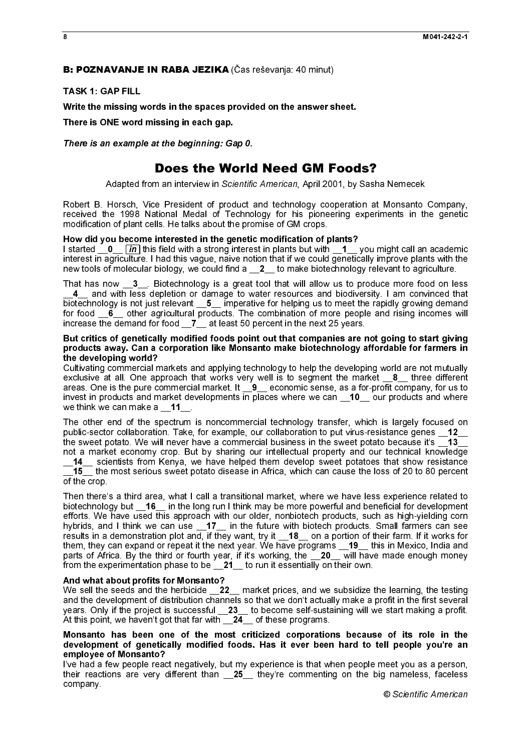# TASK 1: GAP FILL

 $\overline{\mathbf{a}}$ 

Write the missing words in the spaces provided on the answer sheet.

# There is ONE word missing in each gap.

# Does the World Need GM Foods?

Robert B. Horsch, Vice President of product and technology cooperation at Monsanto Company, received the 1998 National Medal of Technology for his pioneering experiments in the genetic modification of plant cells. He talks about the promise of GM crops.

How did you become interested in the genetic modification of plants?<br>I started  $\begin{bmatrix} 0 & [in] \text{ this field with a strong interest in plants but with} 1 & you might call an academic$ interest in agriculture. I had this vague, naive notion that if we could genetically improve plants with the new tools of molecular biology, we could find a  $\ 2$  to make biotechnology relevant to agriculture.

That has now  $3$  . Biotechnology is a great tool that will allow us to produce more food on less 1\_4\_ and with less depletion or damage to water resources and biodiversity. I am convinced that biotechnology is not just relevant \_5\_ imperative for helping us to meet the rapidly growing demand for food **6** other agricultural products. The combination of more people and rising incomes will increase the demand for food  $7$  at least 50 percent in the next 25 years.

### But critics of genetically modified foods point out that companies are not going to start giving products away. Can a corporation like Monsanto make biotechnology affordable for farmers in the developing world?

Cultivating commercial markets and applying technology to help the developing world are not mutually exclusive at all. One approach that works very well is to segment the market \_8\_ three different areas. One is the pure commercial market. It \_\_9\_\_ economic sense, as a for-profit company, for us to invest in products and market developments in places where we can  $\overline{10}$  our products and where we think we can make a  $\_11$ 

The other end of the spectrum is noncommercial technology transfer, which is largely focused on public-sector collaboration. Take, for example, our collaboration to put virus-resistance genes 12\_ the sweet potato. We will never have a commercial business in the sweet potato because it's \_\_13\_\_ not a market economy crop. But by sharing our intellectual property and our technical knowledge \_\_14\_\_ scientists from Kenya, we have helped them develop sweet potatoes that show resistance  $\_$ 15 $\_$  the most serious sweet potato disease in Africa, which can cause the loss of 20 to 80 percent of the crop.

**B: POZNAVAANJE IN RABA JEZIKA** (Čas reševanja: 40 minut)<br>TASK 1: GAP FILL<br>
TASK 1: GAP FILL<br>
Write the missing words in the spaces provided on the answer s<br>
Write the missing words in the spaces provided on the answer s<br> There is an example at the beginning: Gap 0.<br>
Does the World<br>
Adapted from an interview in Scientific<br>
Robert B. Horsch, Vice President of product are<br>
received the 1986 National Metal of Technon<br>
modification of plant ce Adapted from an interview in Scientific American, April 2001, by Sasha Nemecek<br>
Honosh, Voe President of product and technology cooperation at Monstanton<br>
For 1938 Nelstins Netsla of Technology cooperation at Monstan<br>
For Is started  $\frac{0}{\sqrt{16}}$  in the last of the started with a strong interest in that is to the material of the started with the started with the started with the started with the material of model with the started with the Then there's a third area, what I call a transitional market, where we have less experience related to biotechnology but  $\_16\_$  in the long run I think may be more powerful and beneficial for development efforts. We have used this approach with our older, nonbiotech products, such as high-yielding corn hybrids, and I think we can use \_\_**17**\_\_ in the future with biotech products. Small farmers can see results in a demonstration plot and, if they want, try it \_\_18\_\_ on a portion of their farm. If it works for them, they can expand or repeat it the next year. We have programs \_\_**19**\_\_ this in Mexico, India and parts of Africa. By the third or fourth year, if it's working, the \_\_**20**\_\_ will have made enough money from the experimentation phase to be \_\_**21** \_\_ to run it essentially on their own.

# And what about profits for Monsanto?

We sell the seeds and the herbicide \_\_22\_\_ market prices, and we subsidize the learning, the testing and the development of distribution channels so that we don't actually make a profit in the first several years. Only if the project is successful  $\_$  23 $\_$  to become self-sustaining will we start making a profit. At this point, we haven't got that far with \_\_**24**\_\_ of these programs.

### Monsanto has been one of the most criticized corporations because of its role in the development of genetically modified foods. Has it ever been hard to tell people you're an employee of Monsanto?

I've had a few people react negatively, but my experience is that when people meet you as a person, their reactions are very different than \_\_25\_\_ they're commenting on the big nameless, faceless company.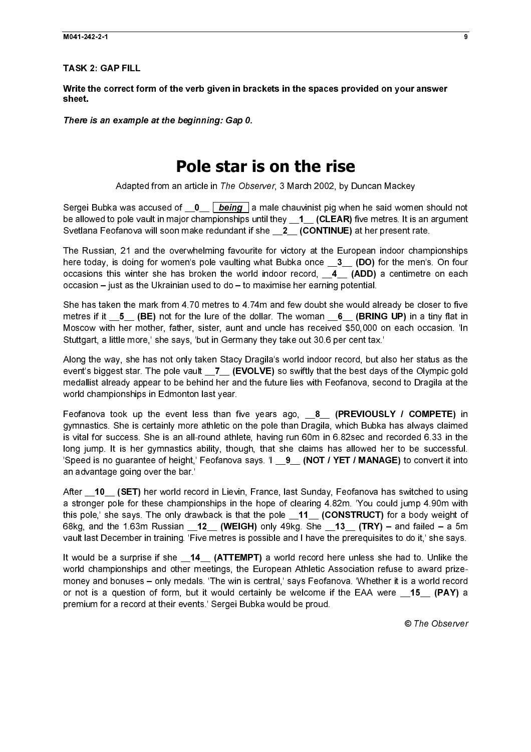TASK 2: GAP FILL

Write the correct form of the verb given in brackets in the spaces provided on your answer sheet.

There is an example at the beginning: Gap 0.

# Pole star is on the rise

Adapted from an article in The Observer, 3 March 2002, by Duncan Mackey

be allowed to pole vault in major championships until they \_\_1\_\_ (CLEAR) five metres. It is an argument Svetlana Feofanova will soon make redundant if she \_\_2\_ (CONTINUE) at her present rate.

The Russian, 21 and the overwhelming favourite for victory at the European indoor championships here today, is doing for women's pole vaulting what Bubka once **3** (DO) for the men's. On four occasions this winter she has broken the world indoor record,  $\_\_4\_\_$  (ADD) a centimetre on each occasion – just as the Ukrainian used to do – to maximise her earning potential.

She has taken the mark from 4.70 metres to 4.74m and few doubt she would already be closer to five metres if it \_5\_ (BE) not for the lure of the dollar. The woman \_6\_ (BRING UP) in a tiny flat in Moscow with her mother, father, sister, aunt and uncle has received \$50,000 on each occasion. 'In Stuttgart, a little more,' she says, 'but in Germany they take out 30.6 per cent tax.'

Along the way, she has not only taken Stacy Dragila's world indoor record, but also her status as the event's biggest star. The pole vault \_\_7\_ (EVOLVE) so swiftly that the best days of the Olympic gold medallist already appear to be behind her and the future lies with Feofanova, second to Dragila at the world championships in Edmonton last year.

There is an example at the beginning: Gap 0.<br> **POIE Star i**<br>
Adapted from an article in The Obs<br>
Bergei Bubka was accused of <u>0</u>. **Deling** levent and the complement of the star and the complement of the Russian, 21 and the Serge Buska was accused of \_\_<u>Chauvinist pig when the same was acquired buska was accused of the said words of the said was accused of the same should not be interesting to the same should not be the same of the same of t</u> Feofanova took up the event less than five years ago, \_8\_ (PREVIOUSLY / COMPETE) in gymnastics. She is certainly more athletic on the pole than Dragila, which Bubka has always claimed is vital for success. She is an all-round athlete, having run 60m in 6.82sec and recorded 6.33 in the long jump. It is her gymnastics ability, though, that she claims has allowed her to be successful. 'Speed is no guarantee of height,' Feofanova says. 'I **9** (NOT / YET / MANAGE) to convert it into an advantage going over the bar.'

After **10** (SET) her world record in Lievin, France, last Sunday, Feofanova has switched to using a stronger pole for these championships in the hope of clearing 4.82m. 'You could jump 4.90m with this pole,' she says. The only drawback is that the pole \_\_11\_\_ (CONSTRUCT) for a body weight of 68kg, and the 1.63m Russian  $12$  (WEIGH) only 49kg. She  $13$  (TRY) – and failed – a 5m vault last December in training. 'Five metres is possible and I have the prerequisites to do it,' she says.

It would be a surprise if she \_\_14\_\_ (ATTEMPT) a world record here unless she had to. Unlike the world championships and other meetings, the European Athletic Association refuse to award prizemoney and bonuses – only medals. 'The win is central,' says Feofanova. 'Whether it is a world record or not is a question of form, but it would certainly be welcome if the EAA were 15\_(PAY) a premium for a record at their events.' Sergei Bubka would be proud.

© The Observer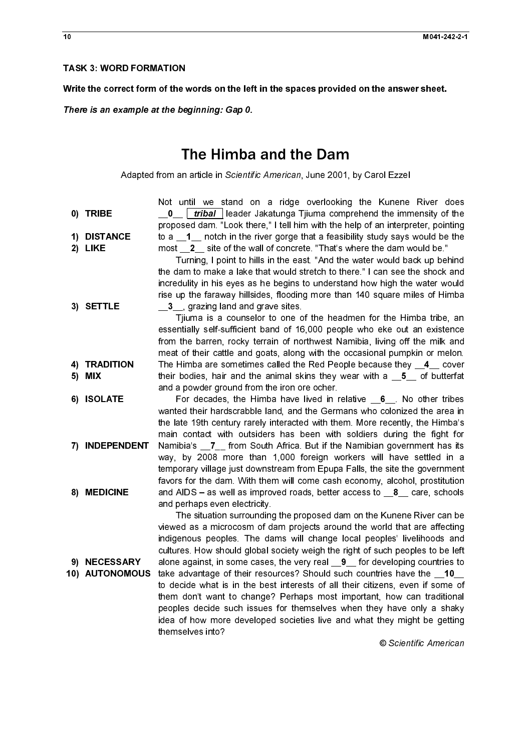### **TASK 3: WORD FORMATION**

# The Himba and the Dam

Not until we stand on a ridge overlooking the Kunene River does proposed dam. "Look there," I tell him with the help of an interpreter, pointing

Turning, I point to hills in the east. "And the water would back up behind the dam to make a lake that would stretch to there." I can see the shock and incredulity in his eyes as he begins to understand how high the water would rise up the faraway hillsides, flooding more than 140 square miles of Himba

Tjiuma is a counselor to one of the headmen for the Himba tribe, an essentially self-sufficient band of 16,000 people who eke out an existence from the barren, rocky terrain of northwest Namibia, living off the milk and meat of their cattle and goats, along with the occasional pumpkin or melon. and a powder ground from the iron ore ocher.

TASK 3: WORD FORMATION wanted their hardscrabble land, and the Germans who colonized the area in the late 19th century rarely interacted with them. More recently, the Himba's main contact with outsiders has been with soldiers during the fight for way, by 2008 more than 1,000 foreign workers will have settled in a temporary village just downstream from Epupa Falls, the site the government favors for the dam. With them will come cash economy, alcohol, prostitution and perhaps even electricity.

There is an example at the beginning: Gap 0.<br>
The Himba and the Dam<br>
Nonptositom an article in Scientific American, June 2001, by Carol Ezzel<br>
19. Nonptositom an article in Scientific American, June 2001, by Carol Ezzel<br> The Himba Magnetic interest in the same of the transposition of the beginning. The Himba Magneton of the most  $\frac{1}{2}$  at the the most  $\frac{1}{2}$  at the dam to make a lake incredibly in this eyes at the beginning. I point Adapted from an article in Scientific American, June 2001, by Carol Ezzel<br>
Not until we stand on a ridge overlooking the Kunene<br>  $\frac{6}{2}$  – Core (Fridan) = leads data, then in the ware gropped data. The forest data feasi 10) AUTONOMOUS **OUR Lindary** leader slakatunga Tjuma comprehend the immensity of the comprehend to itsell to a  $\frac{1}{2}$  moth in the inversion groups that a reastingly study see so would be the  $\alpha = 1$  othin the inversion groups that a to a  $\frac{1}{2}$  moth in the river gorge that a feasibility study says would be the and the river in the river gorge that a feasibility study says would be the Tuning, I point to hills in the east. "And the weller would be most  $\frac{2}{3}$  site of the wall of concrete. "That's where the dam would be."<br>Turning 1 point to hills in the east "And the water would be the the dam to make a labe that would stecht to there." I can see the shock the wa  $\frac{3}{2}$ , grazing land and grave sites.<br>
Tijuma is a counselor to one of 16<br>
essentially self-sufficient band of 16<br>
from the barren, rocky terrain of no<br>
from the barren, rocky terrain of no<br>
meat of their cattle and go The Himba are sometimes called the Red People because they  $\frac{4}{-}$  cover<br>their bodies, hair and the animal skins they wear with a  $\frac{-5}{-}$  of butterfat<br>and a powder ground from the ion ore ocher.<br>For decades, the Himba their bodies, hair and the animal skins they wear with a  $-5$  of butterfat bodies, hair and the animal skins they wear with a  $-5$ . No other tribes wanted their hardscrabble land, and the Germans who colonized the area in For decades, the Himba have lived in relative  $\underline{6}$ . No other tribes<br>ted their hardscrabble land, and the Germans who colonized the area in<br>tate that the formation and the Germans who colonized the area in<br>the state 19 Namibia's  $\frac{1}{s}$  from South Africa. But if the Namibian government has its way, by 2008 more than 1,000 foreign workers will have settled in a term porary village just downstream from Epupa Falls, the site the governme and AIDS – as well as improved roads, better access to  $\_ 8$ — care, schools<br>and perhaps even electricity.<br>The situation surrounding the proposed dam on the Kunene River can be<br>viewed as a microcosm of dam projects around The situation surrounding the proposed dam on the Kunene River can be viewed as a microcosm of dam projects around the world that are affecting indigenous peoples. The dams will change local peoples' livelihoods and cultures. How should global society weigh the right of such peoples to be left alone against, in some cases, the very real  $\_9$  for developing countries to take advantage of their resources? Should such countries have the  $\_10$  to decide what is in the best interests of all their citizens, even if take advantage of their resources? Should such countries have the  $\_\_1$ 0<br>to decide what is in the best interests of all their citizens, even if some of<br>them don't want to change? Perhaps most important, how can tradition to decide what is in the best interests of all their citizens, even if some of them don't want to change? Perhaps most important, how can traditional peoples decide such issues for themselves when they have only a shaky idea of how more developed societies live and what they might be getting themselves into?

 $\overline{10}$ 

- 
- 
- 
- 
- 
- 

 1) DISTAI<br>2) LIKE<br>3) SETTL<br>4) TRADI<br>5) MIX<br>6) ISOLA<br>7) INDEPI<br>8) MEDIC<br>9) NECES<br>10) AUTOM 1) DISTANCE<br>2) LIKE<br>3) SETTLE<br>4) TRADITION<br>5) MIX<br>6) ISOLATE<br>7) INDEPENDI<br>8) MEDICINE<br>10) AUTONOM( 2) LIKE<br>3) SETT<br>4) TRAD<br>5) MIX<br>6) ISOL<br>7) INDEI<br>8) MEDI<br>9) NECE<br>10) AUTC 4) TRADITI(<br>5) MIX<br>6) ISOLATE<br>7) INDEPEN<br>8) MEDICIN<br>9) NECESS<br>10) AUTONC 5) MIX<br>6) ISOLATE<br>7) INDEPENDE<br>8) MEDICINE<br>10) AUTONOMC 6) ISOL<br>7) INDE<br>8) MED<br>9) NEC<br>10) AUT 7) INDEPEN<br>8) MEDICINE<br>9) NECESSA<br>10) AUTONOI 3) MEDICINE<br>29) NECESSARY<br>20) AUTONOMOUS 9) NECESSAF<br>10) AUTONOM<br>10) 10) AUTONOMOU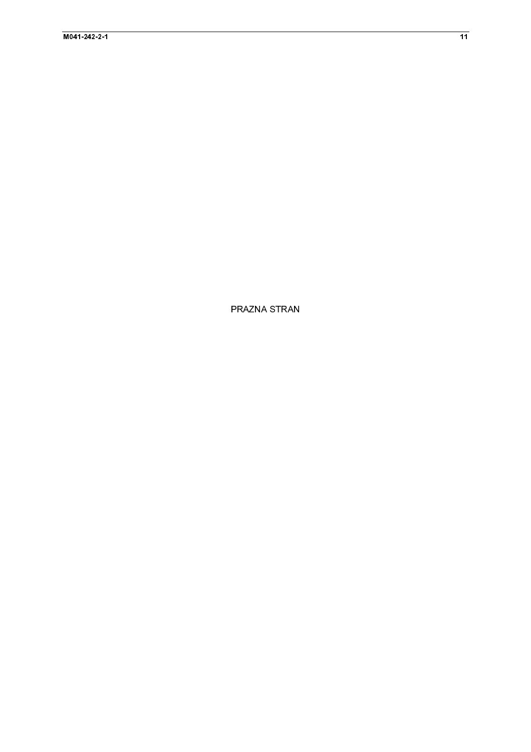PRAZNA STRAN